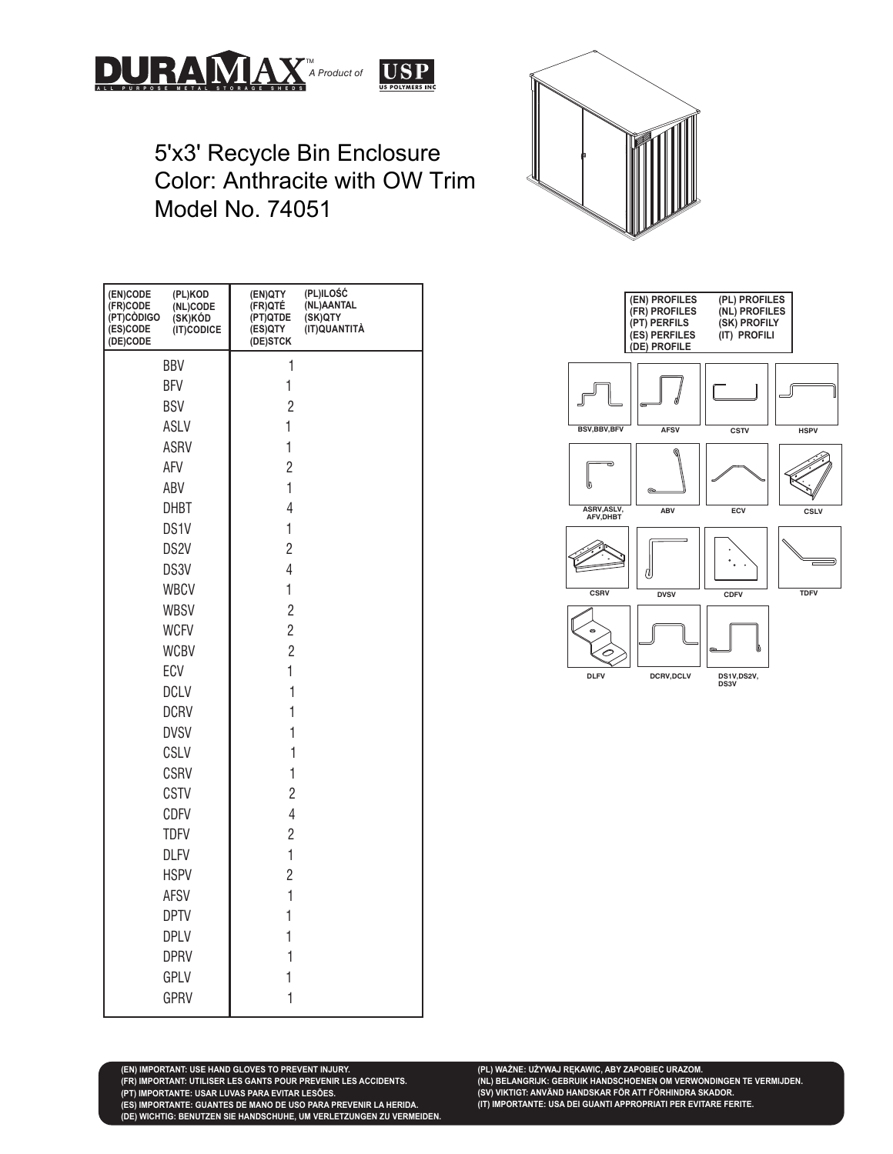



5'x3' Recycle Bin Enclosure Color: Anthracite with OW Trim Model No. 74051

| (EN)CODE<br>(PL)KOD<br>(FR)CODE<br>(NL)CODE<br>(PT)CODIGO<br>(SK)KÓD<br>(IT)CODICE<br>(ES)CODE<br>(DE)CODE | (EN)QTY<br>(PL)ILOSC<br>(NL)AANTAL<br>(FR)QTÉ<br>(PT)QTDE<br>(SK)QTY<br>(IT)QUANTITÀ<br>(ES)QTY<br>(DE)STCK |
|------------------------------------------------------------------------------------------------------------|-------------------------------------------------------------------------------------------------------------|
| BBV                                                                                                        | 1                                                                                                           |
| <b>BFV</b>                                                                                                 | 1                                                                                                           |
| <b>BSV</b>                                                                                                 | $\overline{2}$                                                                                              |
| ASLV                                                                                                       | 1                                                                                                           |
| ASRV                                                                                                       | 1                                                                                                           |
| AFV                                                                                                        | $\overline{c}$                                                                                              |
| ABV                                                                                                        | $\mathbf{1}$                                                                                                |
| <b>DHBT</b>                                                                                                | $\overline{4}$                                                                                              |
| DS1V                                                                                                       | 1                                                                                                           |
| DS <sub>2V</sub>                                                                                           | $\overline{c}$                                                                                              |
| DS3V                                                                                                       | $\overline{4}$                                                                                              |
| <b>WBCV</b>                                                                                                | $\mathbf 1$                                                                                                 |
| <b>WBSV</b>                                                                                                | $\overline{c}$                                                                                              |
| <b>WCFV</b>                                                                                                | $\overline{c}$                                                                                              |
| <b>WCBV</b>                                                                                                | $\overline{c}$                                                                                              |
| ECV                                                                                                        | $\mathbf 1$                                                                                                 |
| <b>DCLV</b>                                                                                                | $\mathbf 1$                                                                                                 |
| <b>DCRV</b>                                                                                                | 1                                                                                                           |
| <b>DVSV</b>                                                                                                | 1                                                                                                           |
| CSLV                                                                                                       | $\mathbf 1$                                                                                                 |
| CSRV                                                                                                       | 1                                                                                                           |
| CSTV                                                                                                       | $\overline{c}$                                                                                              |
| <b>CDFV</b>                                                                                                | $\overline{4}$                                                                                              |
| <b>TDFV</b>                                                                                                | $\overline{c}$                                                                                              |
| <b>DLFV</b>                                                                                                | $\mathbf{1}$                                                                                                |
| <b>HSPV</b>                                                                                                | $\overline{c}$                                                                                              |
| <b>AFSV</b>                                                                                                | $\mathbf{1}$                                                                                                |
| <b>DPTV</b>                                                                                                | 1                                                                                                           |
| <b>DPLV</b>                                                                                                | 1                                                                                                           |
| <b>DPRV</b>                                                                                                | 1                                                                                                           |
| GPLV                                                                                                       | 1                                                                                                           |
| <b>GPRV</b>                                                                                                | 1                                                                                                           |



**(PL) WAŻNE: UŻYWAJ RĘKAWIC, ABY ZAPOBIEC URAZOM. (NL) BELANGRIJK: GEBRUIK HANDSCHOENEN OM VERWONDINGEN TE VERMIJDEN. (SV) VIKTIGT: ANVÄND HANDSKAR FÖR ATT FÖRHINDRA SKADOR. (IT) IMPORTANTE: USA DEI GUANTI APPROPRIATI PER EVITARE FERITE.**

**(PT) IMPORTANTE: USAR LUVAS PARA EVITAR LESÕES. (ES) IMPORTANTE: GUANTES DE MANO DE USO PARA PREVENIR LA HERIDA. (DE) WICHTIG: BENUTZEN SIE HANDSCHUHE, UM VERLETZUNGEN ZU VERMEIDEN.**

**(FR) IMPORTANT: UTILISER LES GANTS POUR PREVENIR LES ACCIDENTS.**

**(EN) IMPORTANT: USE HAND GLOVES TO PREVENT INJURY.**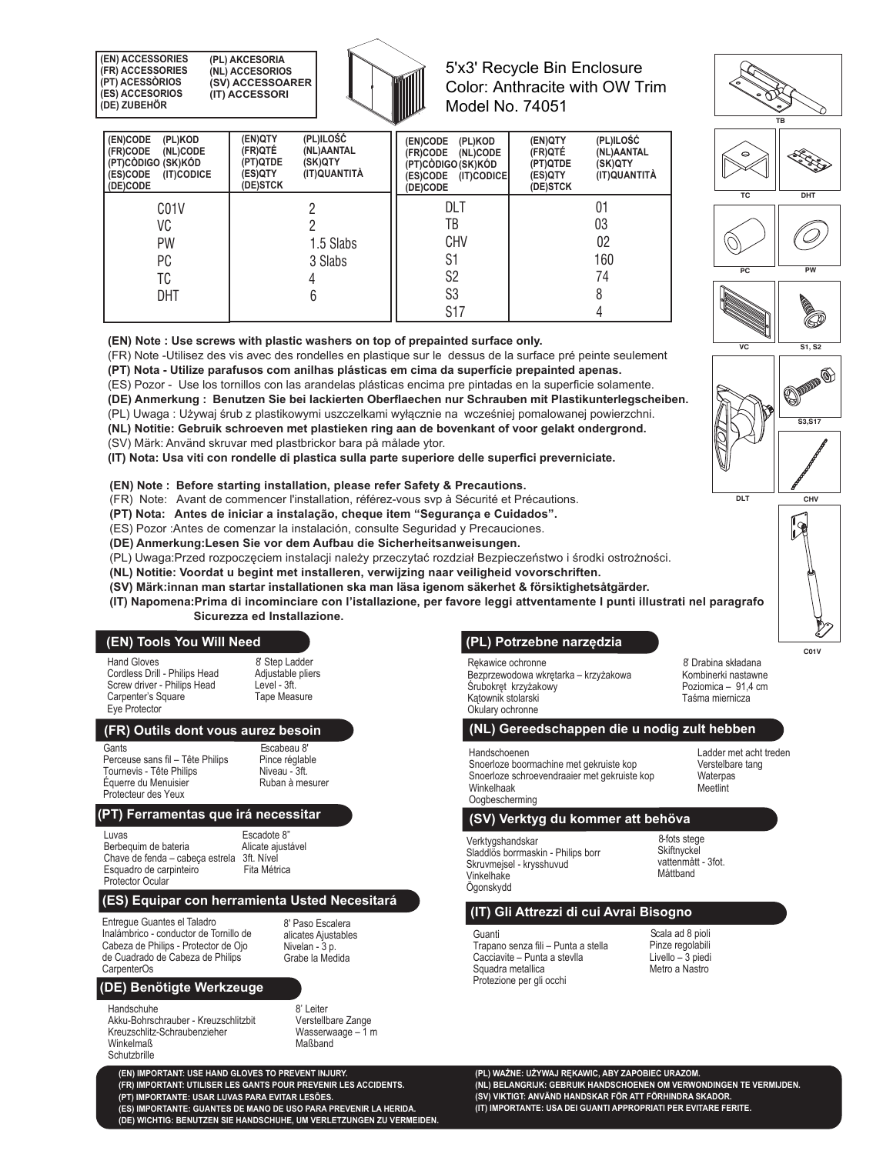**(EN) ACCESSORIES (FR) ACCESSORIES (PT) ACESSÒRIOS (ES) ACCESORIOS (DE) ZUBEHÖR (PL) AKCESORIA (NL) ACCESORIOS (SV) ACCESSOARER (IT) ACCESSORI** 



# 5'x3' Recycle Bin Enclosure Color: Anthracite with OW Trim Model No. 74051

| (EN)CODE<br>(PL)KOD<br>(FR)CODE<br>(NL)CODE<br>(PT)CÓDIGO (SK)KÓD<br>(ES)CODE<br>(IT)CODICE<br>(DE)CODE | (PL)ILOŚĆ<br>(EN)QTY<br>(FR)QTÉ<br>(NL)AANTAL<br>(PT)QTDE<br>(SK)QTY<br>(IT)QUANTITÀ<br>(ES)QTY<br>(DE)STCK | (EN)CODE<br>(PL)KOD<br>(FR)CODE<br>(NL)CODE<br>(PT)CÓDIGO (SK)KÓD<br>(ES)CODE<br>(IT)CODICE<br>(DE)CODE | (PL)ILOŚĆ<br>(EN)QTY<br>(FR)QTÉ<br>(NL)AANTAL<br>(SK)QTY<br>(PT)QTDE<br>(IT)QUANTITÀ<br>(ES)QTY<br>(DE)STCK |
|---------------------------------------------------------------------------------------------------------|-------------------------------------------------------------------------------------------------------------|---------------------------------------------------------------------------------------------------------|-------------------------------------------------------------------------------------------------------------|
| C <sub>0</sub> 1V                                                                                       |                                                                                                             | DLT                                                                                                     | 01                                                                                                          |
| VC                                                                                                      |                                                                                                             | TB                                                                                                      | 03                                                                                                          |
| PW                                                                                                      | 1.5 Slabs                                                                                                   | <b>CHV</b>                                                                                              | 02                                                                                                          |
| РC                                                                                                      | 3 Slabs                                                                                                     | S1                                                                                                      | 160                                                                                                         |
| TC                                                                                                      |                                                                                                             | S <sub>2</sub>                                                                                          | 74                                                                                                          |
| <b>DHT</b>                                                                                              |                                                                                                             | S3                                                                                                      | 8                                                                                                           |
|                                                                                                         |                                                                                                             | <b>S17</b>                                                                                              |                                                                                                             |

**(EN) Note : Use screws with plastic washers on top of prepainted surface only.** 

(FR) Note -Utilisez des vis avec des rondelles en plastique sur le dessus de la surface pré peinte seulement

**(PT) Nota - Utilize parafusos com anilhas plásticas em cima da superfície prepainted apenas.** 

(ES) Pozor - Use los tornillos con las arandelas plásticas encima pre pintadas en la superficie solamente.

**(DE) Anmerkung : Benutzen Sie bei lackierten Oberflaechen nur Schrauben mit Plastikunterlegscheiben.** 

(PL) Uwaga : Używaj śrub z plastikowymi uszczelkami wyłącznie na wcześniej pomalowanej powierzchni.

**(NL) Notitie: Gebruik schroeven met plastieken ring aan de bovenkant of voor gelakt ondergrond.**  (SV) Märk: Använd skruvar med plastbrickor bara på målade ytor.

**(IT) Nota: Usa viti con rondelle di plastica sulla parte superiore delle superfici preverniciate.** 

**(EN) Note : Before starting installation, please refer Safety & Precautions.** 

(FR) Note: Avant de commencer l'installation, référez-vous svp à Sécurité et Précautions.

**(PT) Nota: Antes de iniciar a instalação, cheque item "Segurança e Cuidados".** 

(ES) Pozor :Antes de comenzar la instalación, consulte Seguridad y Precauciones.

**(DE) Anmerkung:Lesen Sie vor dem Aufbau die Sicherheitsanweisungen.** 

(PL) Uwaga:Przed rozpoczęciem instalacji należy przeczytać rozdział Bezpieczeństwo i środki ostrożności.

**(NL) Notitie: Voordat u begint met installeren, verwijzing naar veiligheid vovorschriften.** 

**(SV) Märk:innan man startar installationen ska man läsa igenom säkerhet & försiktighetsåtgärder.** 

**(IT) Napomena:Prima di incominciare con l'istallazione, per favore leggi attventamente I punti illustrati nel paragrafo Sicurezza ed Installazione.** 

#### **(EN) Tools You Will Need**

Hand Gloves Cordless Drill - Philips Head Screw driver - Philips Head Carpenter's Square Eye Protector

8' Step Ladder Adjustable pliers Level - 3ft. Tape Measure

# **(FR) Outils dont vous aurez besoin**

**Gants** 

Perceuse sans fil – Tête Philips Tournevis - Tête Philins Équerre du Menuisier Protecteur des Yeux

Escabeau 8' Pince réglable Niveau - 3ft. Ruban à mesurer

#### **(PT) Ferramentas que irá necessitar**

Luvas<br>Berbequim de bateria en alicate ajustável Berbequim de bateria **Alicate ajustável Alicate ajustável Alicate** ajustável Alicate ajustável Alicate ajustável<br>Chave de fenda – cabeca estrela 3ft Nível Chave de fenda – cabeça estrela 3ft. Nível<br>Esquadro de carpinteiro Fita Métrica Esquadro de carpinteiro Protector Ocular

#### **(ES) Equipar con herramienta Usted Necesitará**

Entregue Guantes el Taladro Inalámbrico - conductor de Tornillo de Cabeza de Philips - Protector de Ojo de Cuadrado de Cabeza de Philips **CarpenterOs** 

8' Paso Escalera alicates Ajustables Nivelan - 3 p. Grabe la Medida

# **(DE) Benötigte Werkzeuge**

Handschuhe

Akku-Bohrschrauber - Kreuzschlitzbit Kreuzschlitz-Schraubenzieher Winkelmaß Schutzbrille

8' Leiter Verstellbare Zange Wasserwaage – 1 m Maßband

**(EN) IMPORTANT: USE HAND GLOVES TO PREVENT INJURY. (FR) IMPORTANT: UTILISER LES GANTS POUR PREVENIR LES ACCIDENTS. (PT) IMPORTANTE: USAR LUVAS PARA EVITAR LESÕES. (ES) IMPORTANTE: GUANTES DE MANO DE USO PARA PREVENIR LA HERIDA. (DE) WICHTIG: BENUTZEN SIE HANDSCHUHE, UM VERLETZUNGEN ZU VERMEIDEN.** 

# **(PL) Potrzebne narzędzia**

Rękawice ochronne Bezprzewodowa wkrętarka – krzyżakowa Śrubokręt krzyżakowy Kątownik stolarski Okulary ochronne

8' Drabina składana Kombinerki nastawne Poziomica – 91,4 cm Taśma miernicza

> Ladder met acht treden Verstelbare tang Waterpas **Meetlint**

# **(NL) Gereedschappen die u nodig zult hebben**

Handschoenen Snoerloze boormachine met gekruiste kop Snoerloze schroevendraaier met gekruiste kop Winkelhaak Oogbescherming

Verktygshandskar **(SV) Verktyg du kommer att behöva** 

Sladdlös borrmaskin - Philips borr Skruvmejsel - krysshuvud Vinkelhake Ögonskydd

8-fots stege **Skiftnyckel** vattenmått - 3fot. Måttband

# **(IT) Gli Attrezzi di cui Avrai Bisogno**

Guanti Trapano senza fili – Punta a stella Cacciavite – Punta a stevlla Squadra metallica Protezione per gli occhi

Scala ad 8 pioli Pinze regolabili Livello – 3 piedi Metro a Nastro

**(PL) WAŻNE: UŻYWAJ RĘKAWIC, ABY ZAPOBIEC URAZOM. (NL) BELANGRIJK: GEBRUIK HANDSCHOENEN OM VERWONDINGEN TE VERMIJDEN. (SV) VIKTIGT: ANVÄND HANDSKAR FÖR ATT FÖRHINDRA SKADOR. (IT) IMPORTANTE: USA DEI GUANTI APPROPRIATI PER EVITARE FERITE.** 



**VC** 

**PC** 

**TC** 



**S3,S17** 

**OPEN !!** 

**S1, S2** 

⋒

(P

**PW** 

Ő,

**DHT** 

**TB** 

**C01V**